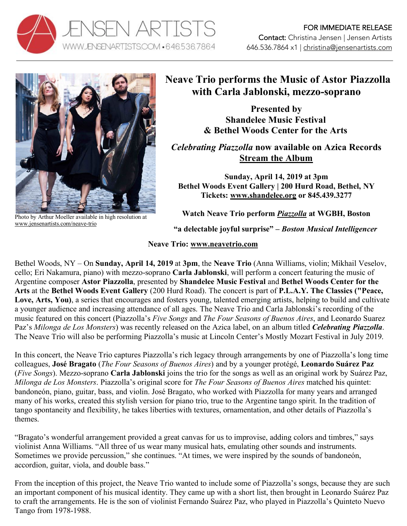



Photo by Arthur Moeller available in high resolution at www.jensenartists.com/neave-trio

## **Neave Trio performs the Music of Astor Piazzolla with Carla Jablonski, mezzo-soprano**

**Presented by Shandelee Music Festival & Bethel Woods Center for the Arts**

*Celebrating Piazzolla* **now available on Azica Records Stream the Album**

**Sunday, April 14, 2019 at 3pm Bethel Woods Event Gallery | 200 Hurd Road, Bethel, NY Tickets: www.shandelee.org or 845.439.3277**

**Watch Neave Trio perform** *Piazzolla* **at WGBH, Boston**

**"a delectable joyful surprise" –** *Boston Musical Intelligencer* 

## **Neave Trio: www.neavetrio.com**

Bethel Woods, NY – On **Sunday, April 14, 2019** at **3pm**, the **Neave Trio** (Anna Williams, violin; Mikhail Veselov, cello; Eri Nakamura, piano) with mezzo-soprano **Carla Jablonski**, will perform a concert featuring the music of Argentine composer **Astor Piazzolla**, presented by **Shandelee Music Festival** and **Bethel Woods Center for the Arts** at the **Bethel Woods Event Gallery** (200 Hurd Road). The concert is part of **P.L.A.Y. The Classics ("Peace,**  Love, Arts, You), a series that encourages and fosters young, talented emerging artists, helping to build and cultivate a younger audience and increasing attendance of all ages. The Neave Trio and Carla Jablonski's recording of the music featured on this concert (Piazzolla's *Five Songs* and *The Four Seasons of Buenos Aires*, and Leonardo Suarez Paz's *Milonga de Los Monsters*) was recently released on the Azica label, on an album titled *Celebrating Piazzolla*. The Neave Trio will also be performing Piazzolla's music at Lincoln Center's Mostly Mozart Festival in July 2019.

In this concert, the Neave Trio captures Piazzolla's rich legacy through arrangements by one of Piazzolla's long time colleagues, **José Bragato** (*The Four Seasons of Buenos Aires*) and by a younger protégé, **Leonardo Suárez Paz** (*Five Songs*). Mezzo-soprano **Carla Jablonski** joins the trio for the songs as well as an original work by Suárez Paz, *Milonga de Los Monsters*. Piazzolla's original score for *The Four Seasons of Buenos Aires* matched his quintet: bandoneón, piano, guitar, bass, and violin. José Bragato, who worked with Piazzolla for many years and arranged many of his works, created this stylish version for piano trio, true to the Argentine tango spirit. In the tradition of tango spontaneity and flexibility, he takes liberties with textures, ornamentation, and other details of Piazzolla's themes.

"Bragato's wonderful arrangement provided a great canvas for us to improvise, adding colors and timbres," says violinist Anna Williams. "All three of us wear many musical hats, emulating other sounds and instruments. Sometimes we provide percussion," she continues. "At times, we were inspired by the sounds of bandoneón, accordion, guitar, viola, and double bass."

From the inception of this project, the Neave Trio wanted to include some of Piazzolla's songs, because they are such an important component of his musical identity. They came up with a short list, then brought in Leonardo Suárez Paz to craft the arrangements. He is the son of violinist Fernando Suárez Paz, who played in Piazzolla's Quinteto Nuevo Tango from 1978-1988.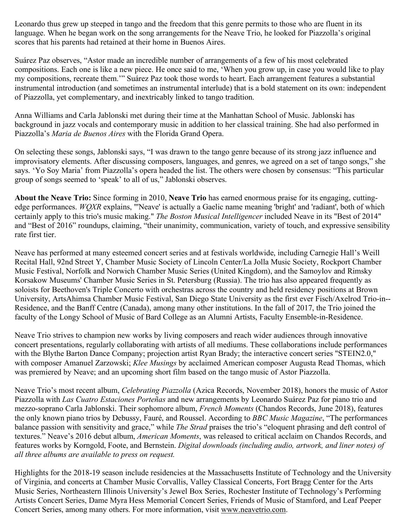Leonardo thus grew up steeped in tango and the freedom that this genre permits to those who are fluent in its language. When he began work on the song arrangements for the Neave Trio, he looked for Piazzolla's original scores that his parents had retained at their home in Buenos Aires.

Suárez Paz observes, "Astor made an incredible number of arrangements of a few of his most celebrated compositions. Each one is like a new piece. He once said to me, 'When you grow up, in case you would like to play my compositions, recreate them.'" Suárez Paz took those words to heart. Each arrangement features a substantial instrumental introduction (and sometimes an instrumental interlude) that is a bold statement on its own: independent of Piazzolla, yet complementary, and inextricably linked to tango tradition.

Anna Williams and Carla Jablonski met during their time at the Manhattan School of Music. Jablonski has background in jazz vocals and contemporary music in addition to her classical training. She had also performed in Piazzolla's *Maria de Buenos Aires* with the Florida Grand Opera.

On selecting these songs, Jablonski says, "I was drawn to the tango genre because of its strong jazz influence and improvisatory elements. After discussing composers, languages, and genres, we agreed on a set of tango songs," she says. 'Yo Soy Maria' from Piazzolla's opera headed the list. The others were chosen by consensus: "This particular group of songs seemed to 'speak' to all of us," Jablonski observes.

**About the Neave Trio:** Since forming in 2010, **Neave Trio** has earned enormous praise for its engaging, cuttingedge performances. *WQXR* explains, "'Neave' is actually a Gaelic name meaning 'bright' and 'radiant', both of which certainly apply to this trio's music making." *The Boston Musical Intelligencer* included Neave in its "Best of 2014" and "Best of 2016" roundups, claiming, "their unanimity, communication, variety of touch, and expressive sensibility rate first tier.

Neave has performed at many esteemed concert series and at festivals worldwide, including Carnegie Hall's Weill Recital Hall, 92nd Street Y, Chamber Music Society of Lincoln Center/La Jolla Music Society, Rockport Chamber Music Festival, Norfolk and Norwich Chamber Music Series (United Kingdom), and the Samoylov and Rimsky Korsakow Museums' Chamber Music Series in St. Petersburg (Russia). The trio has also appeared frequently as soloists for Beethoven's Triple Concerto with orchestras across the country and held residency positions at Brown University, ArtsAhimsa Chamber Music Festival, San Diego State University as the first ever Fisch/Axelrod Trio-in-- Residence, and the Banff Centre (Canada), among many other institutions. In the fall of 2017, the Trio joined the faculty of the Longy School of Music of Bard College as an Alumni Artists, Faculty Ensemble-in-Residence.

Neave Trio strives to champion new works by living composers and reach wider audiences through innovative concert presentations, regularly collaborating with artists of all mediums. These collaborations include performances with the Blythe Barton Dance Company; projection artist Ryan Brady; the interactive concert series "STEIN2.0," with composer Amanuel Zarzowski; *Klee Musings* by acclaimed American composer Augusta Read Thomas, which was premiered by Neave; and an upcoming short film based on the tango music of Astor Piazzolla.

Neave Trio's most recent album, *Celebrating Piazzolla* (Azica Records, November 2018), honors the music of Astor Piazzolla with *Las Cuatro Estaciones Porteñas* and new arrangements by Leonardo Suárez Paz for piano trio and mezzo-soprano Carla Jablonski. Their sophomore album, *French Moments* (Chandos Records, June 2018), features the only known piano trios by Debussy, Fauré, and Roussel. According to *BBC Music Magazine*, "The performances balance passion with sensitivity and grace," while *The Strad* praises the trio's "eloquent phrasing and deft control of textures." Neave's 2016 debut album, *American Moments*, was released to critical acclaim on Chandos Records, and features works by Korngold, Foote, and Bernstein. *Digital downloads (including audio, artwork, and liner notes) of all three albums are available to press on request.*

Highlights for the 2018-19 season include residencies at the Massachusetts Institute of Technology and the University of Virginia, and concerts at Chamber Music Corvallis, Valley Classical Concerts, Fort Bragg Center for the Arts Music Series, Northeastern Illinois University's Jewel Box Series, Rochester Institute of Technology's Performing Artists Concert Series, Dame Myra Hess Memorial Concert Series, Friends of Music of Stamford, and Leaf Peeper Concert Series, among many others. For more information, visit www.neavetrio.com.